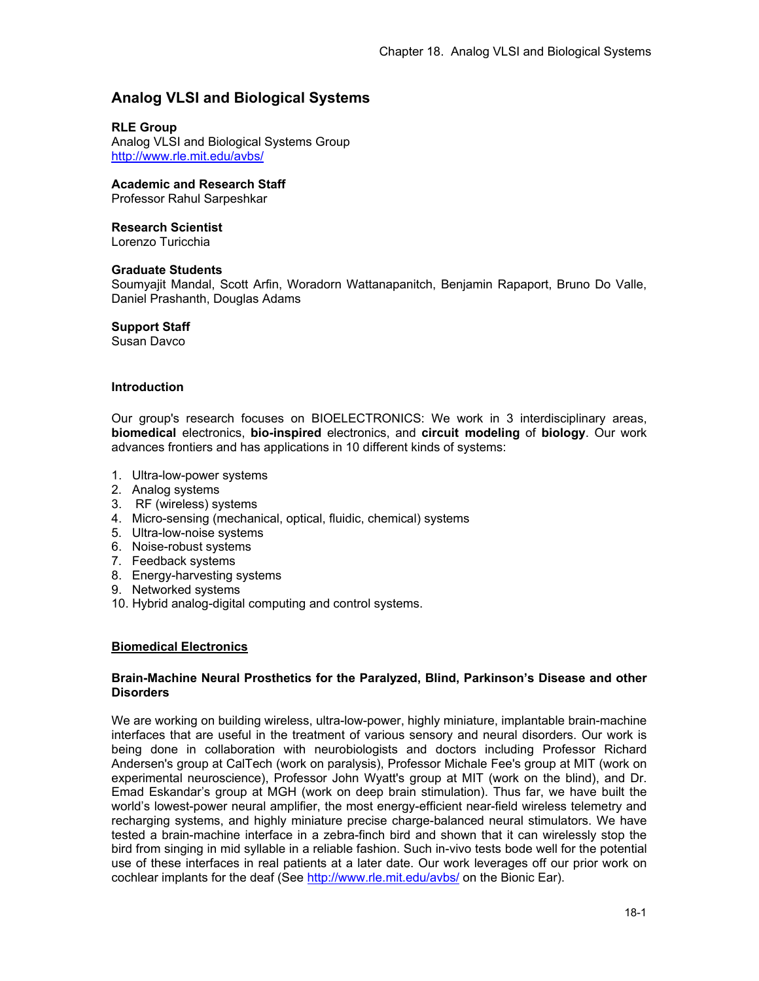# **Analog VLSI and Biological Systems**

# **RLE Group**

Analog VLSI and Biological Systems Group http://www.rle.mit.edu/avbs/

# **Academic and Research Staff**

Professor Rahul Sarpeshkar

# **Research Scientist**

Lorenzo Turicchia

### **Graduate Students**

Soumyajit Mandal, Scott Arfin, Woradorn Wattanapanitch, Benjamin Rapaport, Bruno Do Valle, Daniel Prashanth, Douglas Adams

### **Support Staff**

Susan Davco

### **Introduction**

Our group's research focuses on BIOELECTRONICS: We work in 3 interdisciplinary areas, **biomedical** electronics, **bio-inspired** electronics, and **circuit modeling** of **biology**. Our work advances frontiers and has applications in 10 different kinds of systems:

- 1. Ultra-low-power systems
- 2. Analog systems
- 3. RF (wireless) systems
- 4. Micro-sensing (mechanical, optical, fluidic, chemical) systems
- 5. Ultra-low-noise systems
- 6. Noise-robust systems
- 7. Feedback systems
- 8. Energy-harvesting systems
- 9. Networked systems
- 10. Hybrid analog-digital computing and control systems.

# **Biomedical Electronics**

### **Brain-Machine Neural Prosthetics for the Paralyzed, Blind, Parkinson's Disease and other Disorders**

We are working on building wireless, ultra-low-power, highly miniature, implantable brain-machine interfaces that are useful in the treatment of various sensory and neural disorders. Our work is being done in collaboration with neurobiologists and doctors including Professor Richard Andersen's group at CalTech (work on paralysis), Professor Michale Fee's group at MIT (work on experimental neuroscience), Professor John Wyatt's group at MIT (work on the blind), and Dr. Emad Eskandar's group at MGH (work on deep brain stimulation). Thus far, we have built the world's lowest-power neural amplifier, the most energy-efficient near-field wireless telemetry and recharging systems, and highly miniature precise charge-balanced neural stimulators. We have tested a brain-machine interface in a zebra-finch bird and shown that it can wirelessly stop the bird from singing in mid syllable in a reliable fashion. Such in-vivo tests bode well for the potential use of these interfaces in real patients at a later date. Our work leverages off our prior work on cochlear implants for the deaf (See http://www.rle.mit.edu/avbs/ on the Bionic Ear).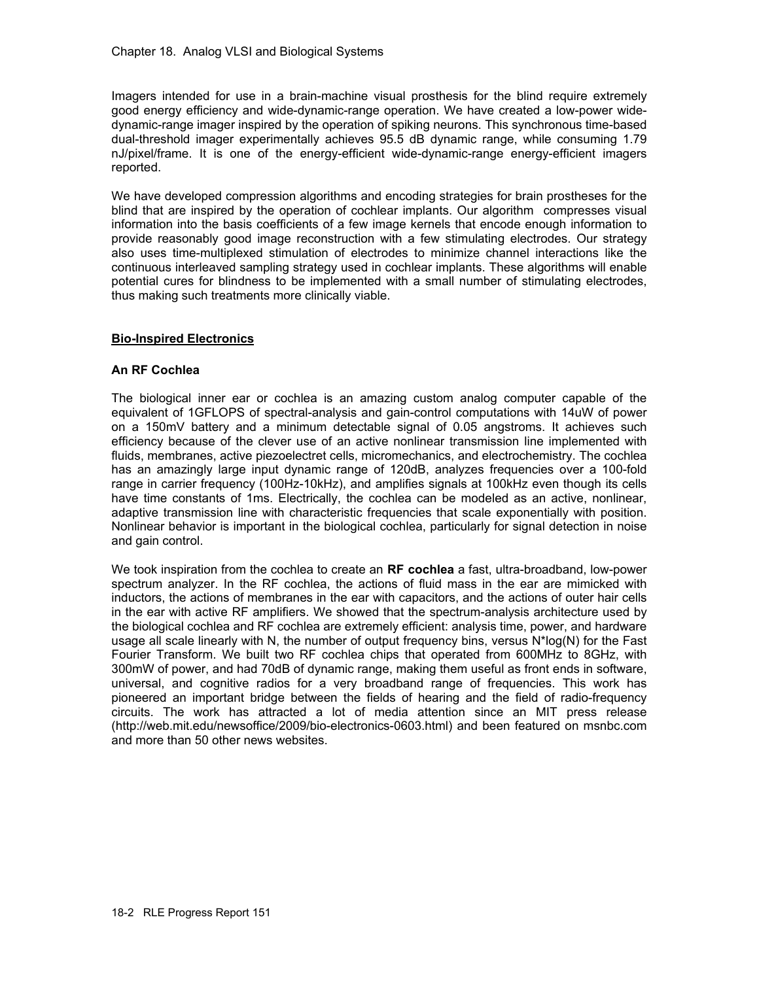Imagers intended for use in a brain-machine visual prosthesis for the blind require extremely good energy efficiency and wide-dynamic-range operation. We have created a low-power widedynamic-range imager inspired by the operation of spiking neurons. This synchronous time-based dual-threshold imager experimentally achieves 95.5 dB dynamic range, while consuming 1.79 nJ/pixel/frame. It is one of the energy-efficient wide-dynamic-range energy-efficient imagers reported.

We have developed compression algorithms and encoding strategies for brain prostheses for the blind that are inspired by the operation of cochlear implants. Our algorithm compresses visual information into the basis coefficients of a few image kernels that encode enough information to provide reasonably good image reconstruction with a few stimulating electrodes. Our strategy also uses time-multiplexed stimulation of electrodes to minimize channel interactions like the continuous interleaved sampling strategy used in cochlear implants. These algorithms will enable potential cures for blindness to be implemented with a small number of stimulating electrodes, thus making such treatments more clinically viable.

# **Bio-Inspired Electronics**

# **An RF Cochlea**

The biological inner ear or cochlea is an amazing custom analog computer capable of the equivalent of 1GFLOPS of spectral-analysis and gain-control computations with 14uW of power on a 150mV battery and a minimum detectable signal of 0.05 angstroms. It achieves such efficiency because of the clever use of an active nonlinear transmission line implemented with fluids, membranes, active piezoelectret cells, micromechanics, and electrochemistry. The cochlea has an amazingly large input dynamic range of 120dB, analyzes frequencies over a 100-fold range in carrier frequency (100Hz-10kHz), and amplifies signals at 100kHz even though its cells have time constants of 1ms. Electrically, the cochlea can be modeled as an active, nonlinear, adaptive transmission line with characteristic frequencies that scale exponentially with position. Nonlinear behavior is important in the biological cochlea, particularly for signal detection in noise and gain control.

We took inspiration from the cochlea to create an **RF cochlea** a fast, ultra-broadband, low-power spectrum analyzer. In the RF cochlea, the actions of fluid mass in the ear are mimicked with inductors, the actions of membranes in the ear with capacitors, and the actions of outer hair cells in the ear with active RF amplifiers. We showed that the spectrum-analysis architecture used by the biological cochlea and RF cochlea are extremely efficient: analysis time, power, and hardware usage all scale linearly with N, the number of output frequency bins, versus N\*log(N) for the Fast Fourier Transform. We built two RF cochlea chips that operated from 600MHz to 8GHz, with 300mW of power, and had 70dB of dynamic range, making them useful as front ends in software, universal, and cognitive radios for a very broadband range of frequencies. This work has pioneered an important bridge between the fields of hearing and the field of radio-frequency circuits. The work has attracted a lot of media attention since an MIT press release (http://web.mit.edu/newsoffice/2009/bio-electronics-0603.html) and been featured on msnbc.com and more than 50 other news websites.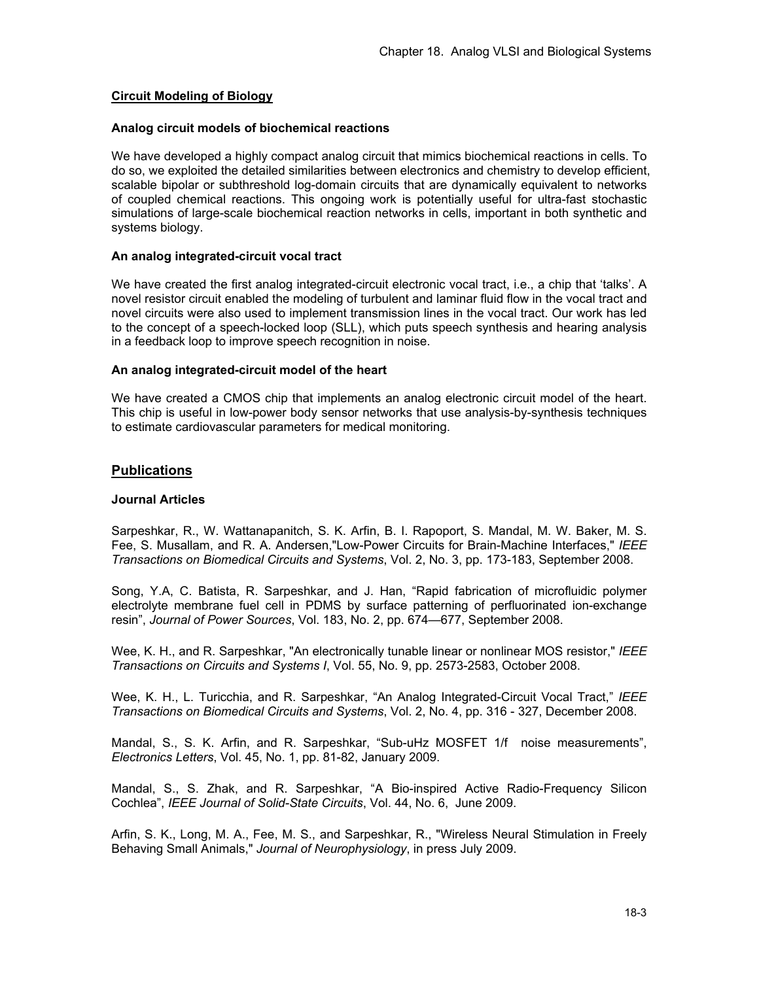# **Circuit Modeling of Biology**

### **Analog circuit models of biochemical reactions**

We have developed a highly compact analog circuit that mimics biochemical reactions in cells. To do so, we exploited the detailed similarities between electronics and chemistry to develop efficient, scalable bipolar or subthreshold log-domain circuits that are dynamically equivalent to networks of coupled chemical reactions. This ongoing work is potentially useful for ultra-fast stochastic simulations of large-scale biochemical reaction networks in cells, important in both synthetic and systems biology.

# **An analog integrated-circuit vocal tract**

We have created the first analog integrated-circuit electronic vocal tract, i.e., a chip that 'talks'. A novel resistor circuit enabled the modeling of turbulent and laminar fluid flow in the vocal tract and novel circuits were also used to implement transmission lines in the vocal tract. Our work has led to the concept of a speech-locked loop (SLL), which puts speech synthesis and hearing analysis in a feedback loop to improve speech recognition in noise.

### **An analog integrated-circuit model of the heart**

We have created a CMOS chip that implements an analog electronic circuit model of the heart. This chip is useful in low-power body sensor networks that use analysis-by-synthesis techniques to estimate cardiovascular parameters for medical monitoring.

# **Publications**

# **Journal Articles**

Sarpeshkar, R., W. Wattanapanitch, S. K. Arfin, B. I. Rapoport, S. Mandal, M. W. Baker, M. S. Fee, S. Musallam, and R. A. Andersen,"Low-Power Circuits for Brain-Machine Interfaces," *IEEE Transactions on Biomedical Circuits and Systems*, Vol. 2, No. 3, pp. 173-183, September 2008.

Song, Y.A, C. Batista, R. Sarpeshkar, and J. Han, "Rapid fabrication of microfluidic polymer electrolyte membrane fuel cell in PDMS by surface patterning of perfluorinated ion-exchange resin", *Journal of Power Sources*, Vol. 183, No. 2, pp. 674—677, September 2008.

Wee, K. H., and R. Sarpeshkar, "An electronically tunable linear or nonlinear MOS resistor," *IEEE Transactions on Circuits and Systems I*, Vol. 55, No. 9, pp. 2573-2583, October 2008.

Wee, K. H., L. Turicchia, and R. Sarpeshkar, "An Analog Integrated-Circuit Vocal Tract," *IEEE Transactions on Biomedical Circuits and Systems*, Vol. 2, No. 4, pp. 316 - 327, December 2008.

Mandal, S., S. K. Arfin, and R. Sarpeshkar, "Sub-uHz MOSFET 1/f noise measurements", *Electronics Letters*, Vol. 45, No. 1, pp. 81-82, January 2009.

Mandal, S., S. Zhak, and R. Sarpeshkar, "A Bio-inspired Active Radio-Frequency Silicon Cochlea", *IEEE Journal of Solid-State Circuits*, Vol. 44, No. 6, June 2009.

Arfin, S. K., Long, M. A., Fee, M. S., and Sarpeshkar, R., "Wireless Neural Stimulation in Freely Behaving Small Animals," *Journal of Neurophysiology*, in press July 2009.